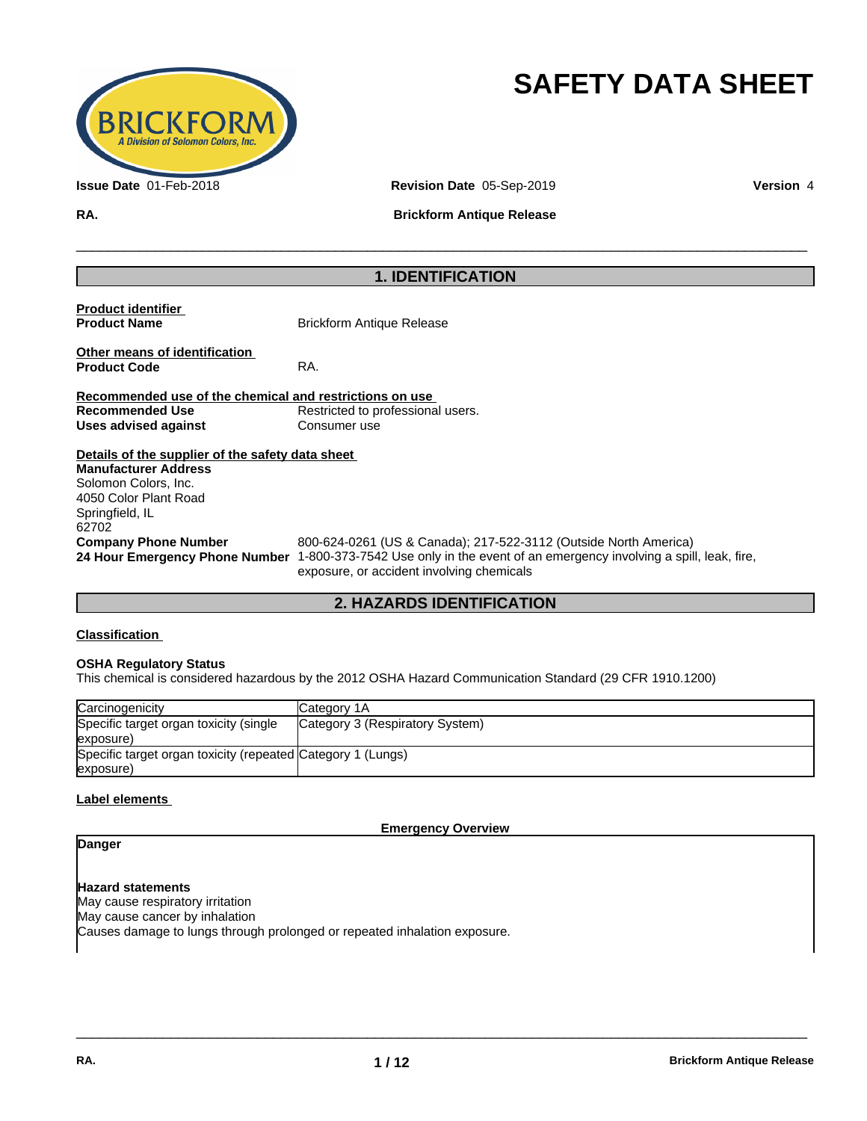

# **SAFETY DATA SHEET**

**Issue Date** 01-Feb-2018 **Revision Date** 05-Sep-2019 **Version** 4

**RA. Brickform Antique Release**

 $\overline{\phantom{a}}$  ,  $\overline{\phantom{a}}$  ,  $\overline{\phantom{a}}$  ,  $\overline{\phantom{a}}$  ,  $\overline{\phantom{a}}$  ,  $\overline{\phantom{a}}$  ,  $\overline{\phantom{a}}$  ,  $\overline{\phantom{a}}$  ,  $\overline{\phantom{a}}$  ,  $\overline{\phantom{a}}$  ,  $\overline{\phantom{a}}$  ,  $\overline{\phantom{a}}$  ,  $\overline{\phantom{a}}$  ,  $\overline{\phantom{a}}$  ,  $\overline{\phantom{a}}$  ,  $\overline{\phantom{a}}$ 

# **1. IDENTIFICATION**

| <b>Product identifier</b><br><b>Product Name</b>        | <b>Brickform Antique Release</b>                                                                                                                                                                                                                                                                                                                                                                       |
|---------------------------------------------------------|--------------------------------------------------------------------------------------------------------------------------------------------------------------------------------------------------------------------------------------------------------------------------------------------------------------------------------------------------------------------------------------------------------|
| Other means of identification<br><b>Product Code</b>    | RA.                                                                                                                                                                                                                                                                                                                                                                                                    |
| Recommended use of the chemical and restrictions on use |                                                                                                                                                                                                                                                                                                                                                                                                        |
| Recommended Use                                         | Restricted to professional users.                                                                                                                                                                                                                                                                                                                                                                      |
| Uses advised against                                    | Consumer use                                                                                                                                                                                                                                                                                                                                                                                           |
| Details of the supplier of the safety data sheet        |                                                                                                                                                                                                                                                                                                                                                                                                        |
| <b>Manufacturer Address</b>                             |                                                                                                                                                                                                                                                                                                                                                                                                        |
| Solomon Colors, Inc.                                    |                                                                                                                                                                                                                                                                                                                                                                                                        |
| 4050 Color Plant Road                                   |                                                                                                                                                                                                                                                                                                                                                                                                        |
| Springfield, IL                                         |                                                                                                                                                                                                                                                                                                                                                                                                        |
| 62702                                                   |                                                                                                                                                                                                                                                                                                                                                                                                        |
| <b>Company Phone Number</b>                             | 800-624-0261 (US & Canada); 217-522-3112 (Outside North America)<br>$\overline{1}$ and $\overline{2}$ and $\overline{1}$ and $\overline{1}$ and $\overline{1}$ and $\overline{1}$ and $\overline{1}$ and $\overline{1}$ and $\overline{1}$ and $\overline{1}$ and $\overline{1}$ and $\overline{1}$ and $\overline{1}$ and $\overline{1}$ and $\overline{1}$ and $\overline{1}$ and $\overline{1}$ and |

**24 Hour Emergency Phone Number** 1-800-373-7542 Use only in the event of an emergency involving a spill, leak, fire, exposure, or accident involving chemicals

 $\overline{\phantom{a}}$  ,  $\overline{\phantom{a}}$  ,  $\overline{\phantom{a}}$  ,  $\overline{\phantom{a}}$  ,  $\overline{\phantom{a}}$  ,  $\overline{\phantom{a}}$  ,  $\overline{\phantom{a}}$  ,  $\overline{\phantom{a}}$  ,  $\overline{\phantom{a}}$  ,  $\overline{\phantom{a}}$  ,  $\overline{\phantom{a}}$  ,  $\overline{\phantom{a}}$  ,  $\overline{\phantom{a}}$  ,  $\overline{\phantom{a}}$  ,  $\overline{\phantom{a}}$  ,  $\overline{\phantom{a}}$ 

# **2. HAZARDS IDENTIFICATION**

# **Classification**

## **OSHA Regulatory Status**

This chemical is considered hazardous by the 2012 OSHA Hazard Communication Standard (29 CFR 1910.1200)

| Carcinogenicity                                             | <b>ICategory 1A</b>             |
|-------------------------------------------------------------|---------------------------------|
| Specific target organ toxicity (single                      | Category 3 (Respiratory System) |
| (exposure                                                   |                                 |
| Specific target organ toxicity (repeated Category 1 (Lungs) |                                 |
| exposure)                                                   |                                 |

# **Label elements**

**Emergency Overview**

# **Danger**

**Hazard statements** May cause respiratory irritation May cause cancer by inhalation Causes damage to lungs through prolonged or repeated inhalation exposure.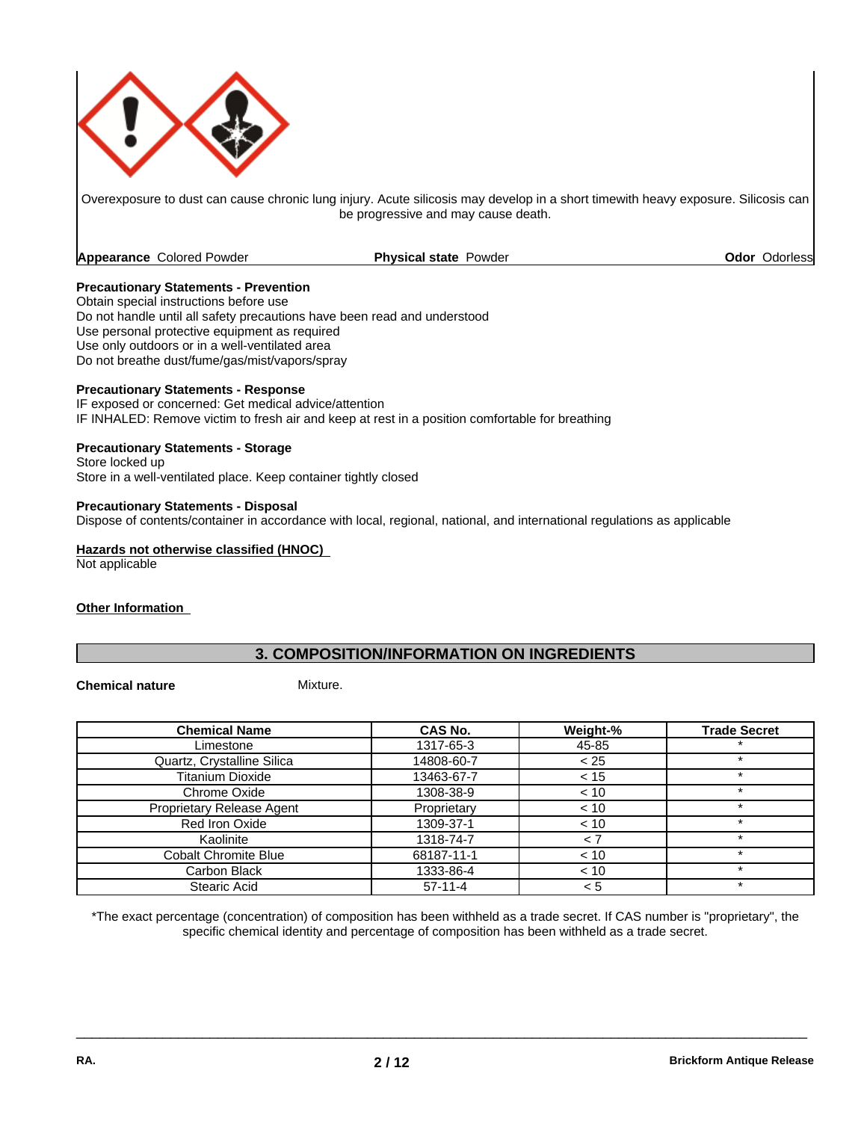

Overexposure to dust can cause chronic lung injury. Acute silicosis may develop in a short timewith heavy exposure. Silicosis can be progressive and may cause death.

**Appearance** Colored Powder **Physical state** Powder

**Odor** Odorless

# **Precautionary Statements - Prevention**

Obtain special instructions before use Do not handle until all safety precautions have been read and understood Use personal protective equipment as required Use only outdoors or in a well-ventilated area Do not breathe dust/fume/gas/mist/vapors/spray

# **Precautionary Statements - Response**

IF exposed or concerned: Get medical advice/attention IF INHALED: Remove victim to fresh air and keep at rest in a position comfortable for breathing

# **Precautionary Statements - Storage**

Store locked up Store in a well-ventilated place. Keep container tightly closed

## **Precautionary Statements - Disposal**

Dispose of contents/container in accordance with local, regional, national, and international regulations as applicable

#### **Hazards not otherwise classified (HNOC)**

Not applicable

## **Other Information**

# **3. COMPOSITION/INFORMATION ON INGREDIENTS**

# **Chemical nature** Mixture.

| <b>Chemical Name</b>        | CAS No.     | Weight-% | <b>Trade Secret</b> |
|-----------------------------|-------------|----------|---------------------|
| Limestone                   | 1317-65-3   | 45-85    |                     |
| Quartz, Crystalline Silica  | 14808-60-7  | < 25     |                     |
| <b>Titanium Dioxide</b>     | 13463-67-7  | < 15     |                     |
| Chrome Oxide                | 1308-38-9   | < 10     |                     |
| Proprietary Release Agent   | Proprietary | < 10     | ÷                   |
| Red Iron Oxide              | 1309-37-1   | < 10     |                     |
| Kaolinite                   | 1318-74-7   |          |                     |
| <b>Cobalt Chromite Blue</b> | 68187-11-1  | < 10     |                     |
| Carbon Black                | 1333-86-4   | < 10     |                     |
| Stearic Acid                | $57-11-4$   | < 5      |                     |

\*The exact percentage (concentration) of composition has been withheld as a trade secret. If CAS number is "proprietary", the specific chemical identity and percentage of composition has been withheld as a trade secret.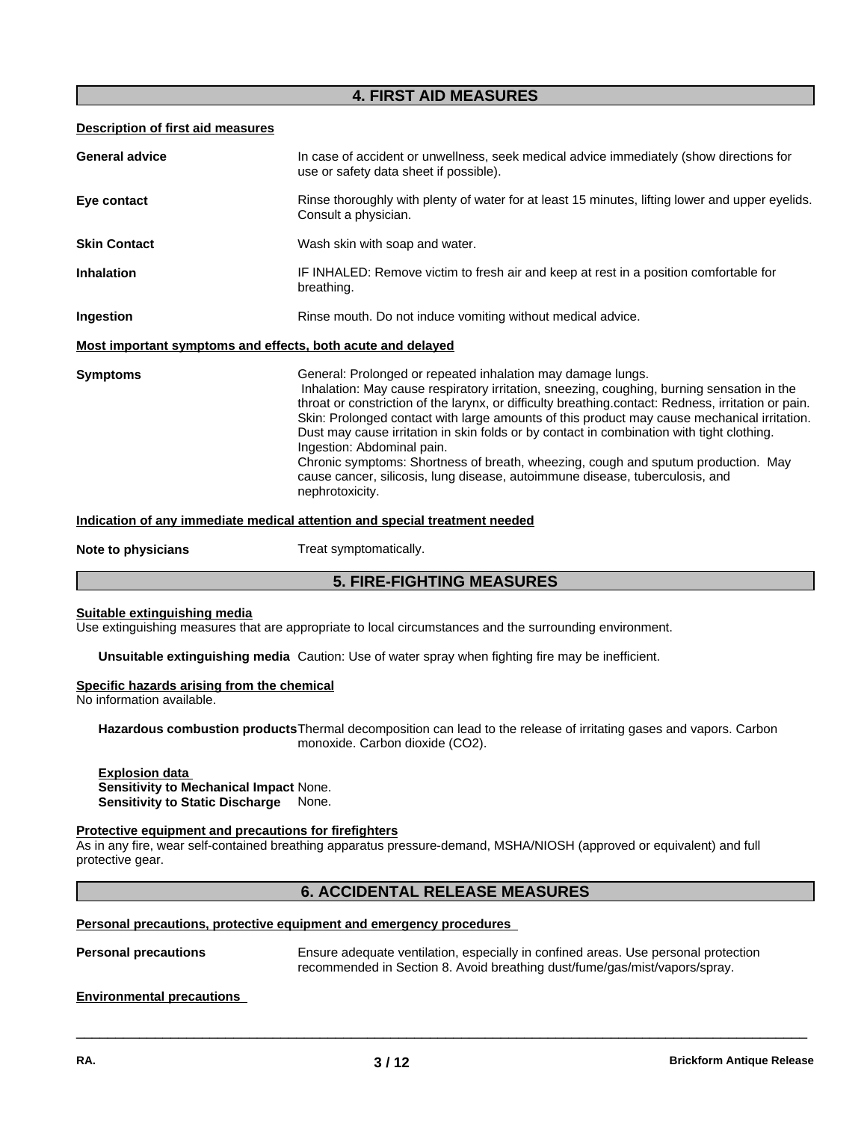# **4. FIRST AID MEASURES**

# **Description of first aid measures**

| <b>General advice</b>                                       | In case of accident or unwellness, seek medical advice immediately (show directions for<br>use or safety data sheet if possible).                                                                                                                                                                                                                                                                                                                                                                                                                                                                                                                                                  |
|-------------------------------------------------------------|------------------------------------------------------------------------------------------------------------------------------------------------------------------------------------------------------------------------------------------------------------------------------------------------------------------------------------------------------------------------------------------------------------------------------------------------------------------------------------------------------------------------------------------------------------------------------------------------------------------------------------------------------------------------------------|
| Eye contact                                                 | Rinse thoroughly with plenty of water for at least 15 minutes, lifting lower and upper eyelids.<br>Consult a physician.                                                                                                                                                                                                                                                                                                                                                                                                                                                                                                                                                            |
| <b>Skin Contact</b>                                         | Wash skin with soap and water.                                                                                                                                                                                                                                                                                                                                                                                                                                                                                                                                                                                                                                                     |
| <b>Inhalation</b>                                           | IF INHALED: Remove victim to fresh air and keep at rest in a position comfortable for<br>breathing.                                                                                                                                                                                                                                                                                                                                                                                                                                                                                                                                                                                |
| Ingestion                                                   | Rinse mouth. Do not induce vomiting without medical advice.                                                                                                                                                                                                                                                                                                                                                                                                                                                                                                                                                                                                                        |
| Most important symptoms and effects, both acute and delayed |                                                                                                                                                                                                                                                                                                                                                                                                                                                                                                                                                                                                                                                                                    |
| <b>Symptoms</b>                                             | General: Prolonged or repeated inhalation may damage lungs.<br>Inhalation: May cause respiratory irritation, sneezing, coughing, burning sensation in the<br>throat or constriction of the larynx, or difficulty breathing contact: Redness, irritation or pain.<br>Skin: Prolonged contact with large amounts of this product may cause mechanical irritation.<br>Dust may cause irritation in skin folds or by contact in combination with tight clothing.<br>Ingestion: Abdominal pain.<br>Chronic symptoms: Shortness of breath, wheezing, cough and sputum production. May<br>cause cancer, silicosis, lung disease, autoimmune disease, tuberculosis, and<br>nephrotoxicity. |

## **Indication of any immediate medical attention and special treatment needed**

**Note to physicians** Treat symptomatically.

# **5. FIRE-FIGHTING MEASURES**

#### **Suitable extinguishing media**

Use extinguishing measures that are appropriate to local circumstances and the surrounding environment.

**Unsuitable extinguishing media** Caution: Use of water spray when fighting fire may be inefficient.

#### **Specific hazards arising from the chemical**

No information available.

**Hazardous combustion products**Thermal decomposition can lead to the release of irritating gases and vapors. Carbon monoxide. Carbon dioxide (CO2).

#### **Explosion data Sensitivity to Mechanical Impact** None. **Sensitivity to Static Discharge** None.

#### **Protective equipment and precautions for firefighters**

As in any fire, wear self-contained breathing apparatus pressure-demand, MSHA/NIOSH (approved or equivalent) and full protective gear.

# **6. ACCIDENTAL RELEASE MEASURES**

#### **Personal precautions, protective equipment and emergency procedures**

**Personal precautions** Ensure adequate ventilation, especially in confined areas. Use personal protection recommended in Section 8. Avoid breathing dust/fume/gas/mist/vapors/spray.

 $\overline{\phantom{a}}$  ,  $\overline{\phantom{a}}$  ,  $\overline{\phantom{a}}$  ,  $\overline{\phantom{a}}$  ,  $\overline{\phantom{a}}$  ,  $\overline{\phantom{a}}$  ,  $\overline{\phantom{a}}$  ,  $\overline{\phantom{a}}$  ,  $\overline{\phantom{a}}$  ,  $\overline{\phantom{a}}$  ,  $\overline{\phantom{a}}$  ,  $\overline{\phantom{a}}$  ,  $\overline{\phantom{a}}$  ,  $\overline{\phantom{a}}$  ,  $\overline{\phantom{a}}$  ,  $\overline{\phantom{a}}$ 

#### **Environmental precautions**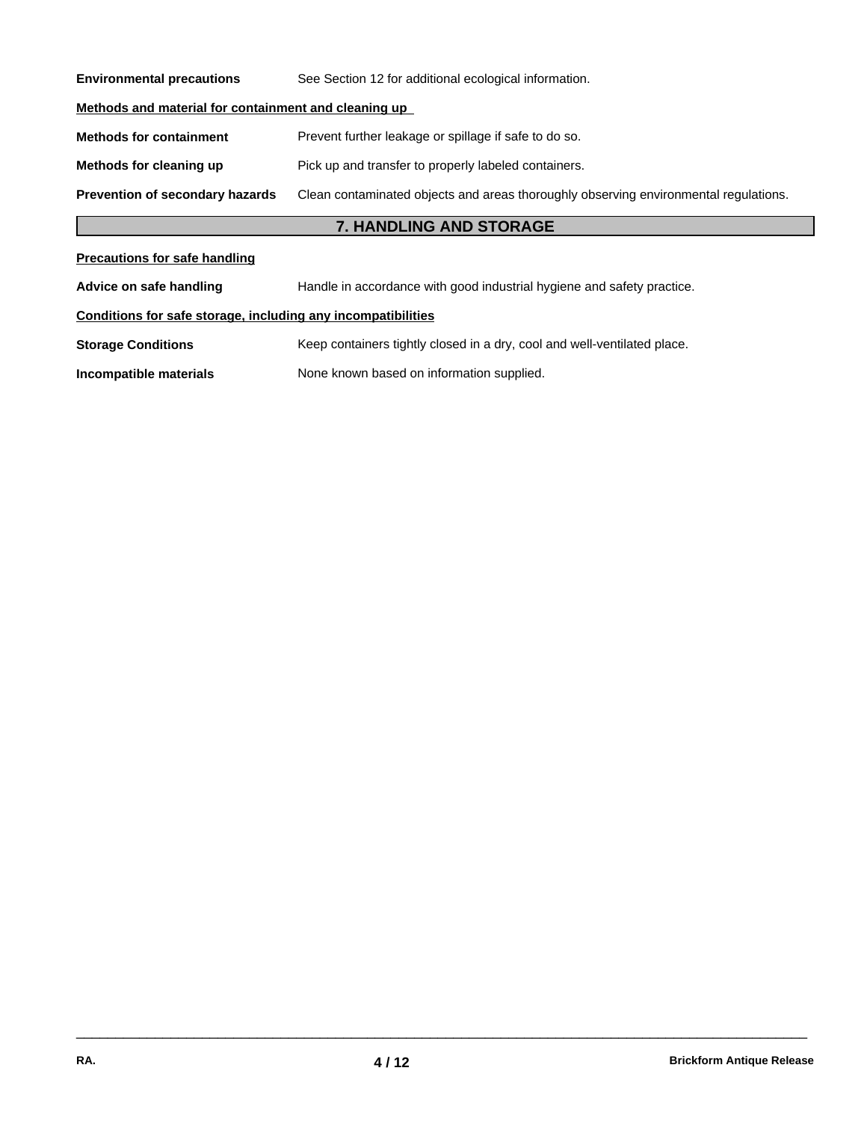| <b>Environmental precautions</b>                             | See Section 12 for additional ecological information.                                |
|--------------------------------------------------------------|--------------------------------------------------------------------------------------|
| Methods and material for containment and cleaning up         |                                                                                      |
| <b>Methods for containment</b>                               | Prevent further leakage or spillage if safe to do so.                                |
| Methods for cleaning up                                      | Pick up and transfer to properly labeled containers.                                 |
| Prevention of secondary hazards                              | Clean contaminated objects and areas thoroughly observing environmental regulations. |
|                                                              | 7. HANDLING AND STORAGE                                                              |
| <b>Precautions for safe handling</b>                         |                                                                                      |
| Advice on safe handling                                      | Handle in accordance with good industrial hygiene and safety practice.               |
| Conditions for safe storage, including any incompatibilities |                                                                                      |
| <b>Storage Conditions</b>                                    | Keep containers tightly closed in a dry, cool and well-ventilated place.             |
| Incompatible materials                                       | None known based on information supplied.                                            |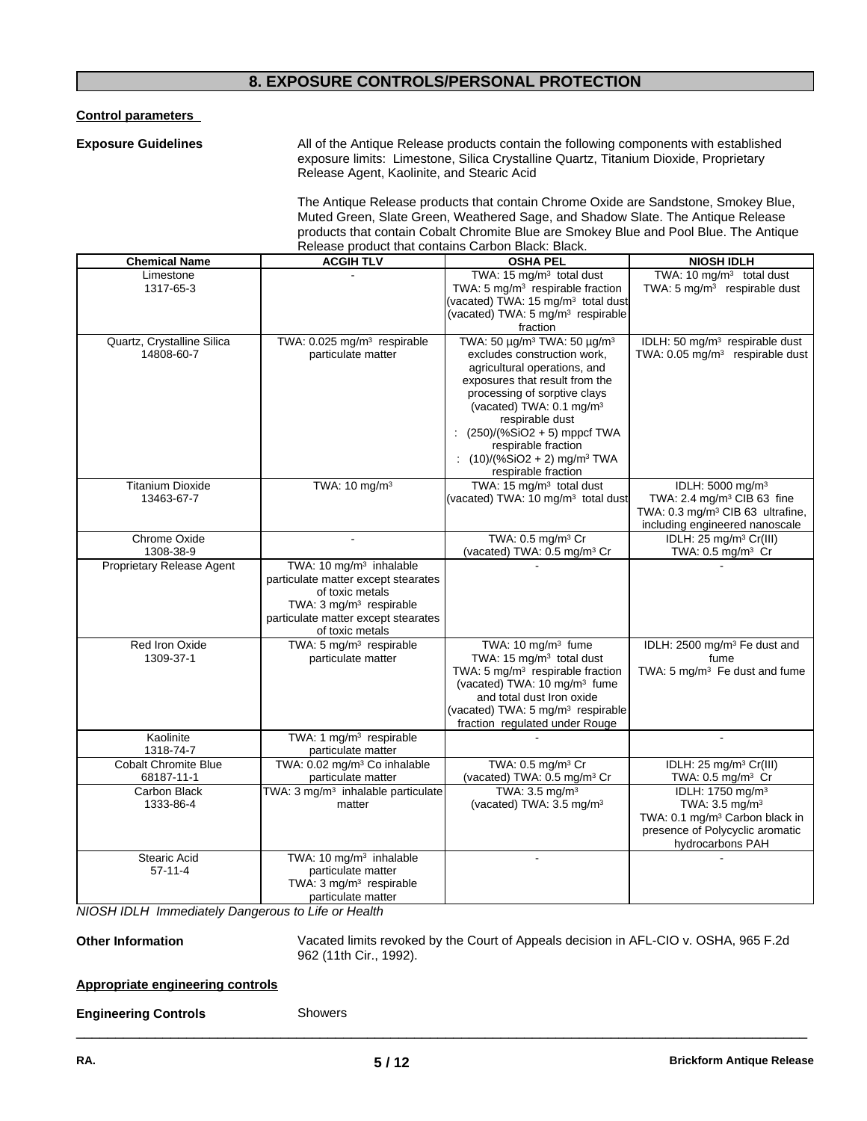# **8. EXPOSURE CONTROLS/PERSONAL PROTECTION**

**Control parameters**

**Exposure Guidelines** All of the Antique Release products contain the following components with established exposure limits: Limestone, Silica Crystalline Quartz, Titanium Dioxide, Proprietary Release Agent, Kaolinite, and Stearic Acid

> The Antique Release products that contain Chrome Oxide are Sandstone, Smokey Blue, Muted Green, Slate Green, Weathered Sage, and Shadow Slate. The Antique Release products that contain Cobalt Chromite Blue are Smokey Blue and Pool Blue. The Antique Release product that contains Carbon Black: Black.

| <b>Chemical Name</b>                     | <b>ACGIH TLV</b>                                               | <b>OSHA PEL</b>                                                                        | <b>NIOSH IDLH</b>                                                      |
|------------------------------------------|----------------------------------------------------------------|----------------------------------------------------------------------------------------|------------------------------------------------------------------------|
| Limestone                                |                                                                | TWA: 15 mg/m <sup>3</sup> total dust                                                   | TWA: 10 mg/m <sup>3</sup> total dust                                   |
| 1317-65-3                                |                                                                | TWA: 5 mg/m <sup>3</sup> respirable fraction                                           | TWA: 5 mg/m <sup>3</sup> respirable dust                               |
|                                          |                                                                | (vacated) TWA: 15 $mg/m^3$ total dust                                                  |                                                                        |
|                                          |                                                                | (vacated) TWA: 5 mg/m <sup>3</sup> respirable<br>fraction                              |                                                                        |
| Quartz, Crystalline Silica               | TWA: 0.025 mg/m <sup>3</sup> respirable                        | TWA: 50 μg/m <sup>3</sup> TWA: 50 μg/m <sup>3</sup>                                    | IDLH: 50 mg/m <sup>3</sup> respirable dust                             |
| 14808-60-7                               | particulate matter                                             | excludes construction work,                                                            | TWA: 0.05 mg/m <sup>3</sup> respirable dust                            |
|                                          |                                                                | agricultural operations, and                                                           |                                                                        |
|                                          |                                                                | exposures that result from the                                                         |                                                                        |
|                                          |                                                                | processing of sorptive clays                                                           |                                                                        |
|                                          |                                                                | (vacated) TWA: 0.1 mg/m <sup>3</sup>                                                   |                                                                        |
|                                          |                                                                | respirable dust                                                                        |                                                                        |
|                                          |                                                                | $(250)/(%SiO2 + 5)$ mppcf TWA                                                          |                                                                        |
|                                          |                                                                | respirable fraction                                                                    |                                                                        |
|                                          |                                                                | : $(10)/(%SiO2 + 2)$ mg/m <sup>3</sup> TWA                                             |                                                                        |
|                                          |                                                                | respirable fraction                                                                    |                                                                        |
| <b>Titanium Dioxide</b><br>13463-67-7    | TWA: 10 mg/m <sup>3</sup>                                      | TWA: 15 mg/m <sup>3</sup> total dust<br>(vacated) TWA: 10 mg/m <sup>3</sup> total dust | IDLH: 5000 mg/m <sup>3</sup><br>TWA: 2.4 mg/m <sup>3</sup> CIB 63 fine |
|                                          |                                                                |                                                                                        | TWA: 0.3 mg/m <sup>3</sup> CIB 63 ultrafine,                           |
|                                          |                                                                |                                                                                        | including engineered nanoscale                                         |
| Chrome Oxide                             |                                                                | TWA: 0.5 mg/m <sup>3</sup> Cr                                                          | IDLH: 25 mg/m <sup>3</sup> Cr(III)                                     |
| 1308-38-9                                |                                                                | (vacated) TWA: 0.5 mg/m <sup>3</sup> Cr                                                | TWA: $0.5 \text{ mg/m}^3$ Cr                                           |
| Proprietary Release Agent                | TWA: 10 mg/m <sup>3</sup> inhalable                            |                                                                                        |                                                                        |
|                                          | particulate matter except stearates                            |                                                                                        |                                                                        |
|                                          | of toxic metals                                                |                                                                                        |                                                                        |
|                                          | TWA: 3 mg/m <sup>3</sup> respirable                            |                                                                                        |                                                                        |
|                                          | particulate matter except stearates                            |                                                                                        |                                                                        |
| Red Iron Oxide                           | of toxic metals<br>TWA: 5 mg/m <sup>3</sup> respirable         | TWA: 10 mg/m <sup>3</sup> fume                                                         | IDLH: 2500 mg/m <sup>3</sup> Fe dust and                               |
| 1309-37-1                                | particulate matter                                             | TWA: 15 mg/m <sup>3</sup> total dust                                                   | fume                                                                   |
|                                          |                                                                | TWA: 5 mg/m <sup>3</sup> respirable fraction                                           | TWA: 5 mg/m <sup>3</sup> Fe dust and fume                              |
|                                          |                                                                | (vacated) TWA: 10 mg/m <sup>3</sup> fume                                               |                                                                        |
|                                          |                                                                | and total dust Iron oxide                                                              |                                                                        |
|                                          |                                                                | (vacated) TWA: 5 mg/m <sup>3</sup> respirable                                          |                                                                        |
|                                          |                                                                | fraction regulated under Rouge                                                         |                                                                        |
| Kaolinite                                | TWA: 1 mg/m <sup>3</sup> respirable                            |                                                                                        |                                                                        |
| 1318-74-7<br><b>Cobalt Chromite Blue</b> | particulate matter<br>TWA: 0.02 mg/m <sup>3</sup> Co inhalable | TWA: 0.5 mg/m <sup>3</sup> Cr                                                          | IDLH: $25 \text{ mg/m}^3 \text{ Cr(III)}$                              |
| 68187-11-1                               | particulate matter                                             | (vacated) TWA: 0.5 mg/m <sup>3</sup> Cr                                                | TWA: 0.5 mg/m <sup>3</sup> Cr                                          |
| Carbon Black                             | TWA: 3 mg/m <sup>3</sup> inhalable particulate                 | TWA: 3.5 mg/m <sup>3</sup>                                                             | IDLH: 1750 mg/m <sup>3</sup>                                           |
| 1333-86-4                                | matter                                                         | (vacated) TWA: 3.5 mg/m <sup>3</sup>                                                   | TWA: 3.5 mg/m <sup>3</sup>                                             |
|                                          |                                                                |                                                                                        | TWA: 0.1 mg/m <sup>3</sup> Carbon black in                             |
|                                          |                                                                |                                                                                        | presence of Polycyclic aromatic                                        |
|                                          |                                                                |                                                                                        | hydrocarbons PAH                                                       |
| <b>Stearic Acid</b>                      | TWA: 10 mg/m <sup>3</sup> inhalable                            |                                                                                        |                                                                        |
| $57 - 11 - 4$                            | particulate matter                                             |                                                                                        |                                                                        |
|                                          | TWA: 3 mg/m <sup>3</sup> respirable<br>particulate matter      |                                                                                        |                                                                        |
|                                          |                                                                |                                                                                        |                                                                        |

*NIOSH IDLH Immediately Dangerous to Life or Health*

**Other Information** Vacated limits revoked by the Court of Appeals decision in AFL-CIO v.OSHA, 965 F.2d 962 (11th Cir., 1992).

 $\overline{\phantom{a}}$  ,  $\overline{\phantom{a}}$  ,  $\overline{\phantom{a}}$  ,  $\overline{\phantom{a}}$  ,  $\overline{\phantom{a}}$  ,  $\overline{\phantom{a}}$  ,  $\overline{\phantom{a}}$  ,  $\overline{\phantom{a}}$  ,  $\overline{\phantom{a}}$  ,  $\overline{\phantom{a}}$  ,  $\overline{\phantom{a}}$  ,  $\overline{\phantom{a}}$  ,  $\overline{\phantom{a}}$  ,  $\overline{\phantom{a}}$  ,  $\overline{\phantom{a}}$  ,  $\overline{\phantom{a}}$ 

# **Appropriate engineering controls**

# **Engineering Controls**

Showers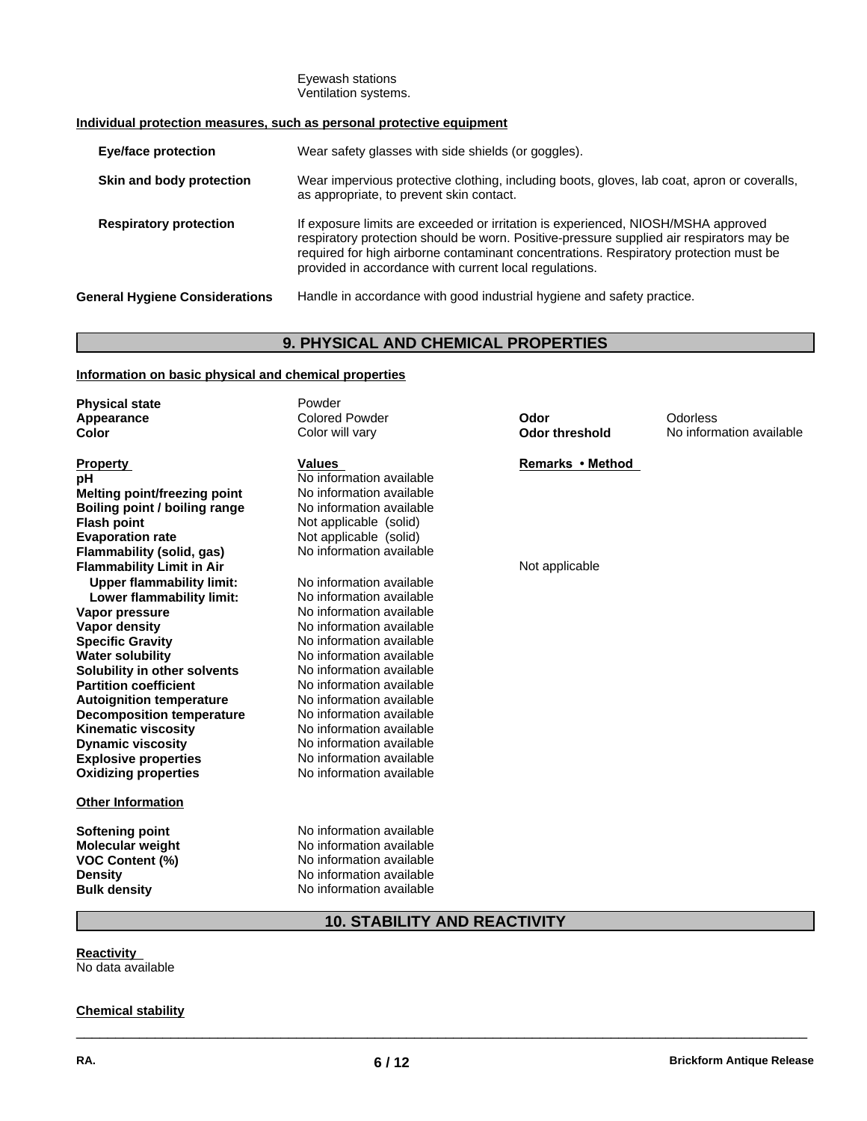#### Eyewash stations Ventilation systems.

# **Individual protection measures, such as personal protective equipment**

| <b>Eye/face protection</b>            | Wear safety glasses with side shields (or goggles).                                                                                                                                                                                                                                                                              |
|---------------------------------------|----------------------------------------------------------------------------------------------------------------------------------------------------------------------------------------------------------------------------------------------------------------------------------------------------------------------------------|
| Skin and body protection              | Wear impervious protective clothing, including boots, gloves, lab coat, apron or coveralls,<br>as appropriate, to prevent skin contact.                                                                                                                                                                                          |
| <b>Respiratory protection</b>         | If exposure limits are exceeded or irritation is experienced, NIOSH/MSHA approved<br>respiratory protection should be worn. Positive-pressure supplied air respirators may be<br>required for high airborne contaminant concentrations. Respiratory protection must be<br>provided in accordance with current local regulations. |
| <b>General Hygiene Considerations</b> | Handle in accordance with good industrial hygiene and safety practice.                                                                                                                                                                                                                                                           |

# **9. PHYSICAL AND CHEMICAL PROPERTIES**

# **Information on basic physical and chemical properties**

| <b>Physical state</b>            | Powder                   |                       |                          |
|----------------------------------|--------------------------|-----------------------|--------------------------|
| Appearance                       | <b>Colored Powder</b>    | Odor                  | Odorless                 |
| Color                            | Color will vary          | <b>Odor threshold</b> | No information available |
|                                  |                          |                       |                          |
| <b>Property</b>                  | <b>Values</b>            | Remarks • Method      |                          |
| рH                               | No information available |                       |                          |
| Melting point/freezing point     | No information available |                       |                          |
| Boiling point / boiling range    | No information available |                       |                          |
| <b>Flash point</b>               | Not applicable (solid)   |                       |                          |
| <b>Evaporation rate</b>          | Not applicable (solid)   |                       |                          |
| Flammability (solid, gas)        | No information available |                       |                          |
| <b>Flammability Limit in Air</b> |                          | Not applicable        |                          |
| <b>Upper flammability limit:</b> | No information available |                       |                          |
| Lower flammability limit:        | No information available |                       |                          |
| Vapor pressure                   | No information available |                       |                          |
| Vapor density                    | No information available |                       |                          |
| <b>Specific Gravity</b>          | No information available |                       |                          |
| <b>Water solubility</b>          | No information available |                       |                          |
| Solubility in other solvents     | No information available |                       |                          |
| <b>Partition coefficient</b>     | No information available |                       |                          |
| <b>Autoignition temperature</b>  | No information available |                       |                          |
| <b>Decomposition temperature</b> | No information available |                       |                          |
| <b>Kinematic viscosity</b>       | No information available |                       |                          |
| <b>Dynamic viscosity</b>         | No information available |                       |                          |
| <b>Explosive properties</b>      | No information available |                       |                          |
| <b>Oxidizing properties</b>      | No information available |                       |                          |
| <b>Other Information</b>         |                          |                       |                          |
|                                  |                          |                       |                          |
| Softening point                  | No information available |                       |                          |
| <b>Molecular weight</b>          | No information available |                       |                          |
| <b>VOC Content (%)</b>           | No information available |                       |                          |
| <b>Density</b>                   | No information available |                       |                          |
| <b>Bulk density</b>              | No information available |                       |                          |

# **10. STABILITY AND REACTIVITY**

 $\overline{\phantom{a}}$  ,  $\overline{\phantom{a}}$  ,  $\overline{\phantom{a}}$  ,  $\overline{\phantom{a}}$  ,  $\overline{\phantom{a}}$  ,  $\overline{\phantom{a}}$  ,  $\overline{\phantom{a}}$  ,  $\overline{\phantom{a}}$  ,  $\overline{\phantom{a}}$  ,  $\overline{\phantom{a}}$  ,  $\overline{\phantom{a}}$  ,  $\overline{\phantom{a}}$  ,  $\overline{\phantom{a}}$  ,  $\overline{\phantom{a}}$  ,  $\overline{\phantom{a}}$  ,  $\overline{\phantom{a}}$ 

**Reactivity**

No data available

# **Chemical stability**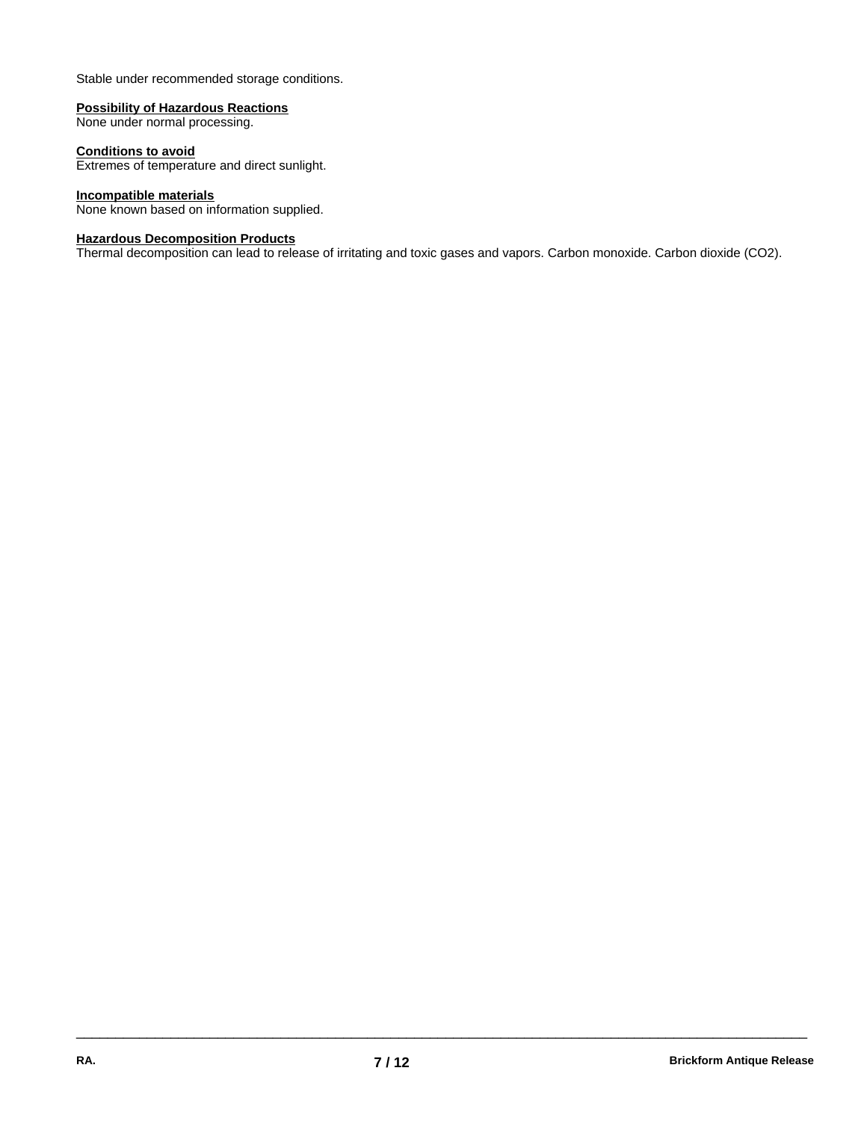Stable under recommended storage conditions.

#### **Possibility of Hazardous Reactions**

None under normal processing.

#### **Conditions to avoid**

Extremes of temperature and direct sunlight.

# **Incompatible materials**

None known based on information supplied.

#### **Hazardous Decomposition Products**

Thermal decomposition can lead to release of irritating and toxic gases and vapors. Carbon monoxide. Carbon dioxide (CO2).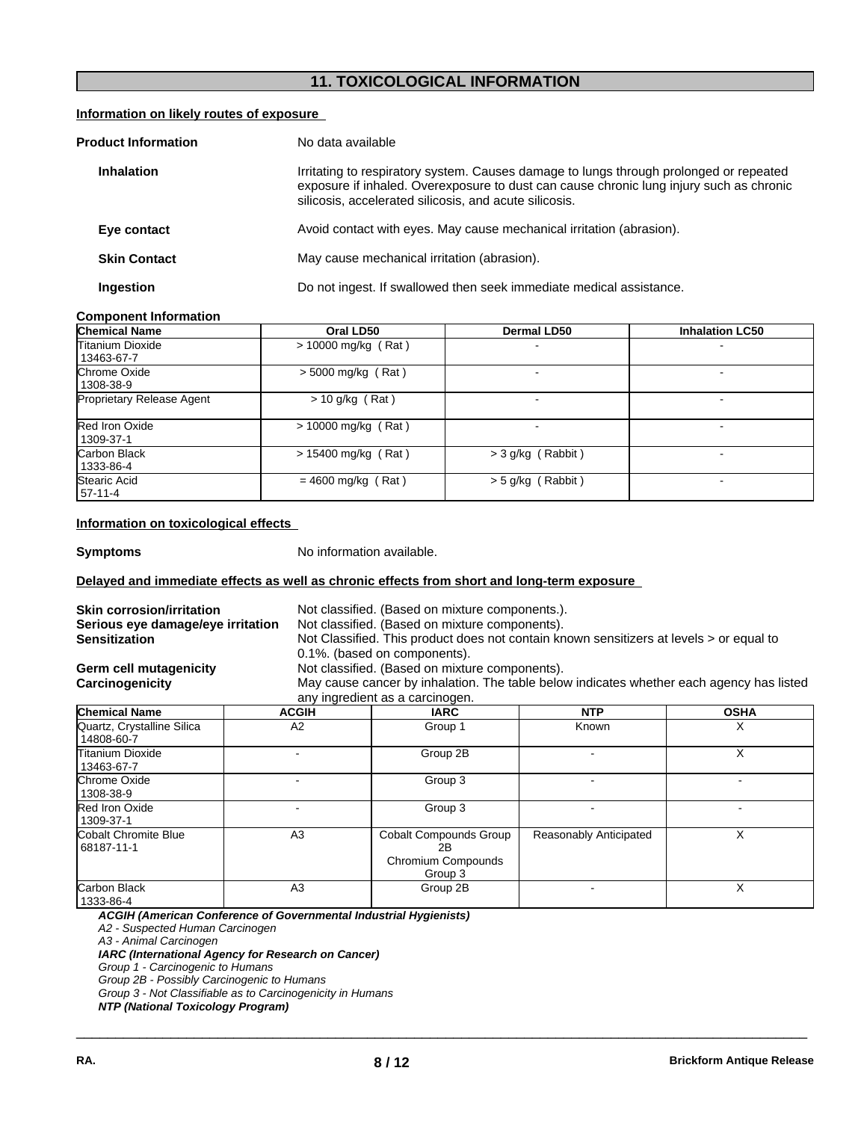# **11. TOXICOLOGICAL INFORMATION**

# **Information on likely routes of exposure**

| <b>Product Information</b> | No data available                                                                                                                                                                                                                           |
|----------------------------|---------------------------------------------------------------------------------------------------------------------------------------------------------------------------------------------------------------------------------------------|
| <b>Inhalation</b>          | Irritating to respiratory system. Causes damage to lungs through prolonged or repeated<br>exposure if inhaled. Overexposure to dust can cause chronic lung injury such as chronic<br>silicosis, accelerated silicosis, and acute silicosis. |
| Eye contact                | Avoid contact with eyes. May cause mechanical irritation (abrasion).                                                                                                                                                                        |
| <b>Skin Contact</b>        | May cause mechanical irritation (abrasion).                                                                                                                                                                                                 |
| Ingestion                  | Do not ingest. If swallowed then seek immediate medical assistance.                                                                                                                                                                         |

# **Component Information**

| <b>Chemical Name</b>                  | Oral LD50             | <b>Dermal LD50</b>  | <b>Inhalation LC50</b> |
|---------------------------------------|-----------------------|---------------------|------------------------|
| <b>Titanium Dioxide</b><br>13463-67-7 | $>$ 10000 mg/kg (Rat) |                     |                        |
| Chrome Oxide<br>1308-38-9             | $> 5000$ mg/kg (Rat)  |                     |                        |
| <b>Proprietary Release Agent</b>      | $> 10$ g/kg (Rat)     |                     |                        |
| <b>Red Iron Oxide</b><br>1309-37-1    | $> 10000$ mg/kg (Rat) |                     |                        |
| Carbon Black<br>1333-86-4             | $> 15400$ mg/kg (Rat) | $>$ 3 g/kg (Rabbit) |                        |
| <b>Stearic Acid</b><br>57-11-4        | $= 4600$ mg/kg (Rat)  | > 5 g/kg (Rabbit)   |                        |

## **Information on toxicological effects**

**Symptoms** No information available.

# **Delayed and immediate effects as well as chronic effects from short and long-term exposure**

| <b>Skin corrosion/irritation</b><br>Serious eye damage/eye irritation<br><b>Sensitization</b><br><b>Germ cell mutagenicity</b><br>Carcinogenicity |                | Not classified. (Based on mixture components.).<br>Not classified. (Based on mixture components).<br>Not Classified. This product does not contain known sensitizers at levels > or equal to<br>0.1%. (based on components).<br>Not classified. (Based on mixture components).<br>May cause cancer by inhalation. The table below indicates whether each agency has listed<br>any ingredient as a carcinogen. |                        |             |
|---------------------------------------------------------------------------------------------------------------------------------------------------|----------------|---------------------------------------------------------------------------------------------------------------------------------------------------------------------------------------------------------------------------------------------------------------------------------------------------------------------------------------------------------------------------------------------------------------|------------------------|-------------|
| <b>Chemical Name</b>                                                                                                                              | <b>ACGIH</b>   | <b>IARC</b>                                                                                                                                                                                                                                                                                                                                                                                                   | <b>NTP</b>             | <b>OSHA</b> |
| Quartz, Crystalline Silica<br>14808-60-7                                                                                                          | A2             | Group 1                                                                                                                                                                                                                                                                                                                                                                                                       | Known                  | х           |
| Titanium Dioxide<br>13463-67-7                                                                                                                    |                | Group 2B                                                                                                                                                                                                                                                                                                                                                                                                      |                        | X           |
| Chrome Oxide<br>1308-38-9                                                                                                                         |                | Group 3                                                                                                                                                                                                                                                                                                                                                                                                       |                        |             |
| Red Iron Oxide<br>1309-37-1                                                                                                                       |                | Group 3                                                                                                                                                                                                                                                                                                                                                                                                       |                        |             |
| Cobalt Chromite Blue<br>68187-11-1                                                                                                                | A3             | Cobalt Compounds Group<br>2B<br>Chromium Compounds<br>Group 3                                                                                                                                                                                                                                                                                                                                                 | Reasonably Anticipated | X           |
| Carbon Black<br>1333-86-4                                                                                                                         | A <sub>3</sub> | Group 2B                                                                                                                                                                                                                                                                                                                                                                                                      |                        | X           |

 $\overline{\phantom{a}}$  ,  $\overline{\phantom{a}}$  ,  $\overline{\phantom{a}}$  ,  $\overline{\phantom{a}}$  ,  $\overline{\phantom{a}}$  ,  $\overline{\phantom{a}}$  ,  $\overline{\phantom{a}}$  ,  $\overline{\phantom{a}}$  ,  $\overline{\phantom{a}}$  ,  $\overline{\phantom{a}}$  ,  $\overline{\phantom{a}}$  ,  $\overline{\phantom{a}}$  ,  $\overline{\phantom{a}}$  ,  $\overline{\phantom{a}}$  ,  $\overline{\phantom{a}}$  ,  $\overline{\phantom{a}}$ 

*ACGIH (American Conference of Governmental Industrial Hygienists) A2 - Suspected Human Carcinogen*

*A3 - Animal Carcinogen*

*IARC (International Agency for Research on Cancer)*

*Group 1 - Carcinogenic to Humans*

*Group 2B - Possibly Carcinogenic to Humans*

*Group 3 - Not Classifiable as to Carcinogenicity in Humans*

*NTP (National Toxicology Program)*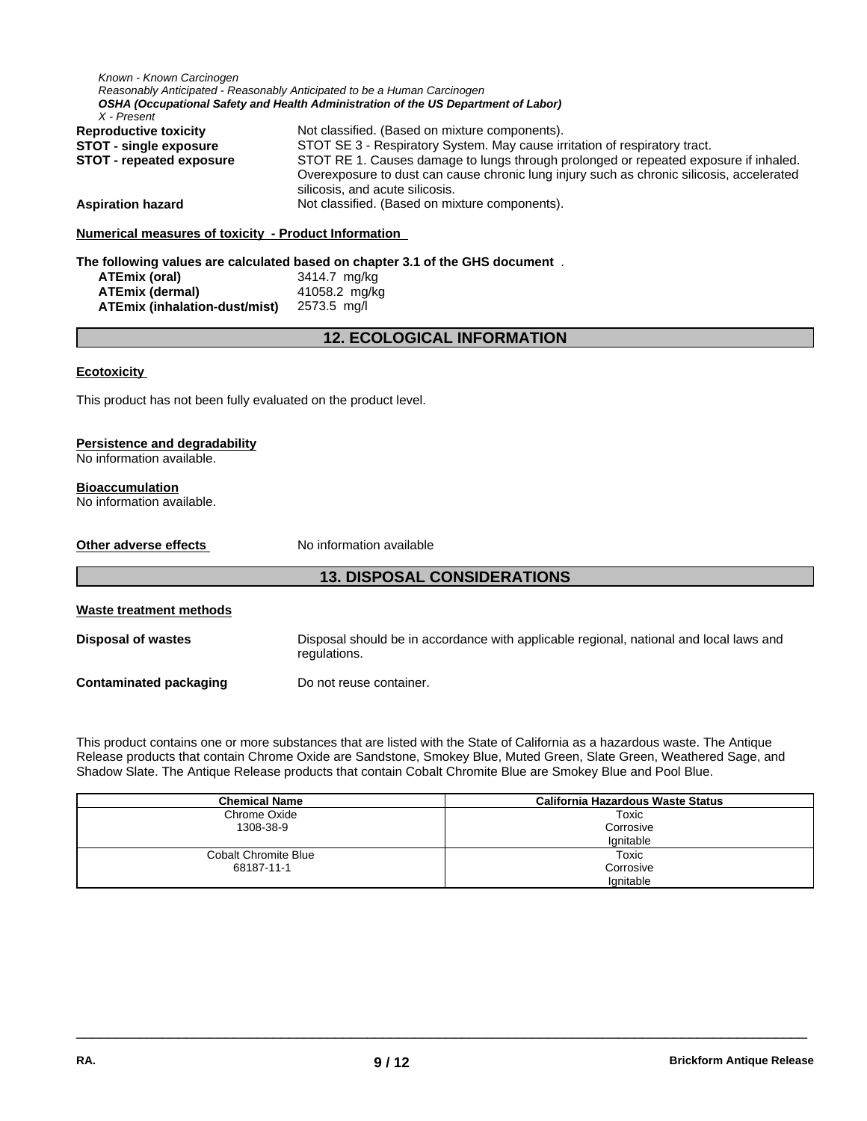| Known - Known Carcinogen                                        |                                                                                                                                                                |  |  |
|-----------------------------------------------------------------|----------------------------------------------------------------------------------------------------------------------------------------------------------------|--|--|
|                                                                 | Reasonably Anticipated - Reasonably Anticipated to be a Human Carcinogen<br>OSHA (Occupational Safety and Health Administration of the US Department of Labor) |  |  |
| X - Present                                                     |                                                                                                                                                                |  |  |
| <b>Reproductive toxicity</b>                                    | Not classified. (Based on mixture components).                                                                                                                 |  |  |
| <b>STOT - single exposure</b>                                   | STOT SE 3 - Respiratory System. May cause irritation of respiratory tract.                                                                                     |  |  |
| <b>STOT - repeated exposure</b>                                 | STOT RE 1. Causes damage to lungs through prolonged or repeated exposure if inhaled.                                                                           |  |  |
|                                                                 | Overexposure to dust can cause chronic lung injury such as chronic silicosis, accelerated                                                                      |  |  |
|                                                                 | silicosis, and acute silicosis.                                                                                                                                |  |  |
| <b>Aspiration hazard</b>                                        | Not classified. (Based on mixture components).                                                                                                                 |  |  |
| Numerical measures of toxicity - Product Information            |                                                                                                                                                                |  |  |
|                                                                 | The following values are calculated based on chapter 3.1 of the GHS document.                                                                                  |  |  |
| <b>ATEmix (oral)</b>                                            | 3414.7 mg/kg                                                                                                                                                   |  |  |
| <b>ATEmix (dermal)</b>                                          | 41058.2 mg/kg                                                                                                                                                  |  |  |
| <b>ATEmix (inhalation-dust/mist)</b>                            | 2573.5 mg/l                                                                                                                                                    |  |  |
|                                                                 | <b>12. ECOLOGICAL INFORMATION</b>                                                                                                                              |  |  |
|                                                                 |                                                                                                                                                                |  |  |
| <b>Ecotoxicity</b>                                              |                                                                                                                                                                |  |  |
| This product has not been fully evaluated on the product level. |                                                                                                                                                                |  |  |
|                                                                 |                                                                                                                                                                |  |  |
| <b>Persistence and degradability</b>                            |                                                                                                                                                                |  |  |
| No information available.                                       |                                                                                                                                                                |  |  |
|                                                                 |                                                                                                                                                                |  |  |
| <b>Bioaccumulation</b>                                          |                                                                                                                                                                |  |  |
| No information available.                                       |                                                                                                                                                                |  |  |
|                                                                 |                                                                                                                                                                |  |  |
| Other adverse effects                                           | No information available                                                                                                                                       |  |  |
|                                                                 |                                                                                                                                                                |  |  |
|                                                                 | <b>13. DISPOSAL CONSIDERATIONS</b>                                                                                                                             |  |  |
| <b>Waste treatment methods</b>                                  |                                                                                                                                                                |  |  |
|                                                                 |                                                                                                                                                                |  |  |
| <b>Disposal of wastes</b>                                       | Disposal should be in accordance with applicable regional, national and local laws and                                                                         |  |  |
|                                                                 | regulations.                                                                                                                                                   |  |  |
| <b>Contaminated packaging</b>                                   | Do not reuse container.                                                                                                                                        |  |  |
|                                                                 |                                                                                                                                                                |  |  |

This product contains one or more substances that are listed with the State of California as a hazardous waste. The Antique Release products that contain Chrome Oxide are Sandstone, Smokey Blue, Muted Green, Slate Green, Weathered Sage, and Shadow Slate. The Antique Release products that contain Cobalt Chromite Blue are Smokey Blue and Pool Blue.

| <b>Chemical Name</b>        | <b>California Hazardous Waste Status</b> |
|-----------------------------|------------------------------------------|
| Chrome Oxide                | Toxic                                    |
| 1308-38-9                   | Corrosive                                |
|                             | lgnitable                                |
| <b>Cobalt Chromite Blue</b> | Toxic                                    |
| 68187-11-1                  | Corrosive                                |
|                             | Ignitable                                |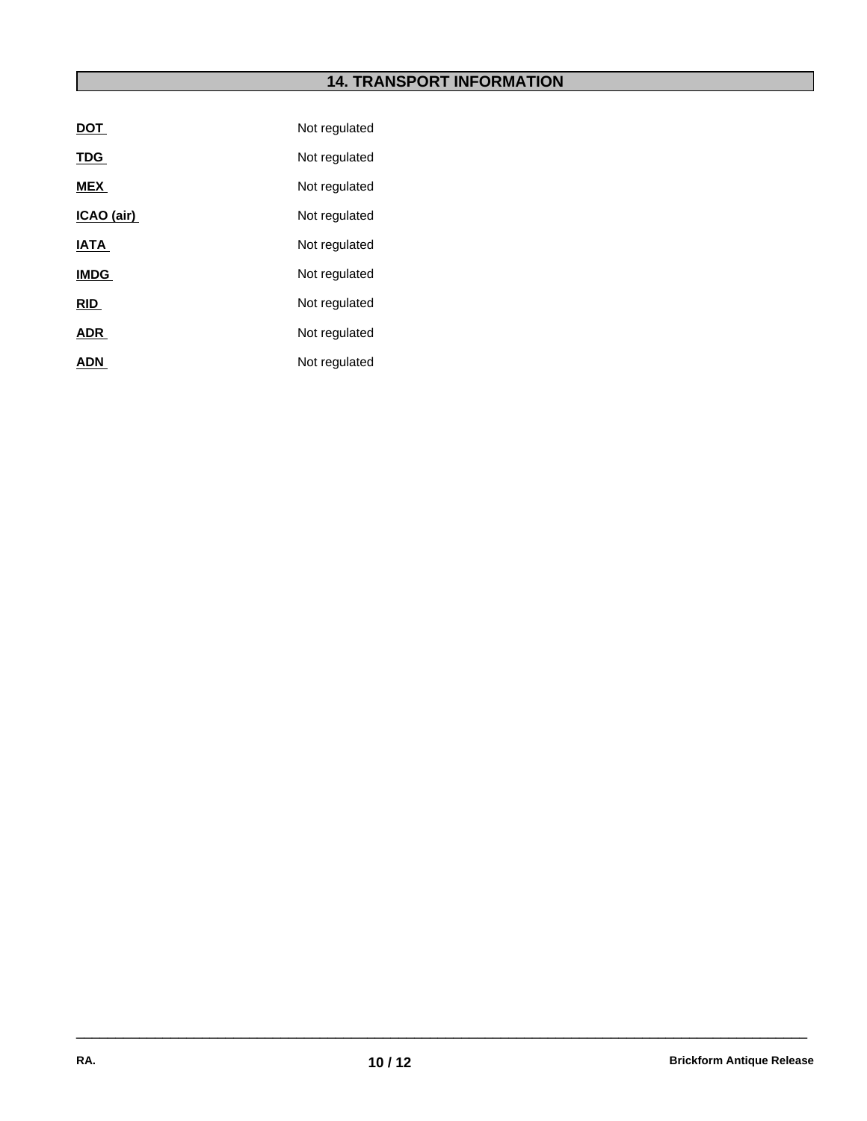# **14. TRANSPORT INFORMATION**

| <b>DOT</b>  | Not regulated |
|-------------|---------------|
| <b>TDG</b>  | Not regulated |
| <b>MEX</b>  | Not regulated |
| ICAO (air)  | Not regulated |
| <b>IATA</b> | Not regulated |
| <b>IMDG</b> | Not regulated |
| <b>RID</b>  | Not regulated |
| <b>ADR</b>  | Not regulated |
| <b>ADN</b>  | Not regulated |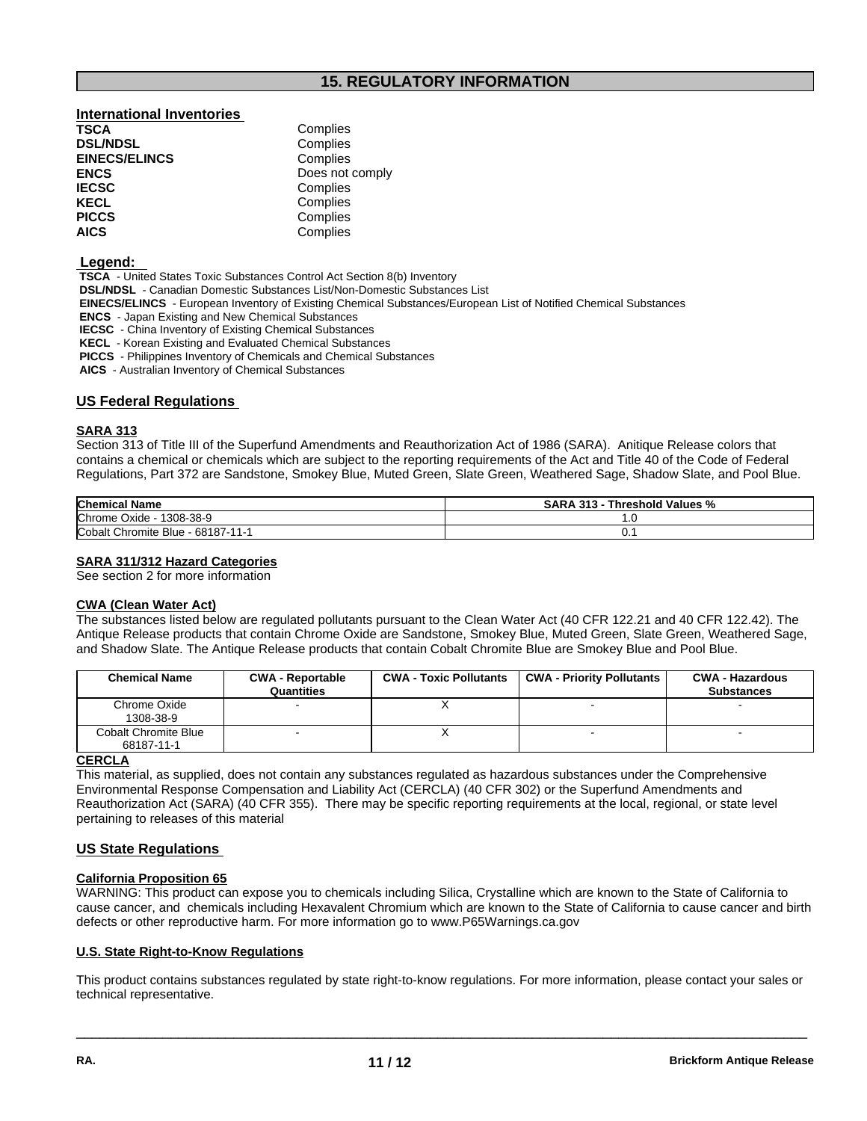# **15. REGULATORY INFORMATION**

# **International Inventories DSL/NDSL**<br> **EINECS/ELINCS EINECS/ELINCS Complies EINECS/ELINCS ENCS** Does not comply **IECSC** Complies **KECL Complies**<br> **PICCS** Complies **PICCS** Complies<br> **AICS** Complies

**Complies AICS** Complies

#### **Legend:**

 **TSCA** - United States Toxic Substances Control Act Section 8(b) Inventory

- **DSL/NDSL**  Canadian Domestic Substances List/Non-Domestic Substances List
- **EINECS/ELINCS**  European Inventory of Existing Chemical Substances/European List of Notified Chemical Substances
- **ENCS**  Japan Existing and New Chemical Substances
- **IECSC**  China Inventory of Existing Chemical Substances
- **KECL**  Korean Existing and Evaluated Chemical Substances
- **PICCS**  Philippines Inventory of Chemicals and Chemical Substances
- **AICS**  Australian Inventory of Chemical Substances

# **US Federal Regulations**

# **SARA 313**

Section 313 of Title III of the Superfund Amendments and Reauthorization Act of 1986 (SARA). Anitique Release colors that contains a chemical or chemicals which are subject to the reporting requirements of the Act and Title 40 of the Code of Federal Regulations, Part 372 are Sandstone, Smokey Blue, Muted Green, Slate Green, Weathered Sage, Shadow Slate, and Pool Blue.

| <b>Chemical Name</b>                 | <b>SARA 313</b><br>Threshold Values % |  |
|--------------------------------------|---------------------------------------|--|
| Chrome<br>1308-38-9<br>Oxide         | . . ب                                 |  |
| Cobalt Chromite<br>Blue - 68187-11-1 | ◡.                                    |  |

# **SARA 311/312 Hazard Categories**

See section 2 for more information

#### **CWA** (Clean Water Act)

The substances listed below are regulated pollutants pursuant to the Clean Water Act (40 CFR 122.21 and 40 CFR 122.42). The Antique Release products that contain Chrome Oxide are Sandstone, Smokey Blue, Muted Green, Slate Green, Weathered Sage, and Shadow Slate. The Antique Release products that contain Cobalt Chromite Blue are Smokey Blue and Pool Blue.

| <b>Chemical Name</b>                      | <b>CWA - Reportable</b><br><b>Quantities</b> | <b>CWA - Toxic Pollutants</b> | <b>CWA - Priority Pollutants</b> | <b>CWA - Hazardous</b><br><b>Substances</b> |
|-------------------------------------------|----------------------------------------------|-------------------------------|----------------------------------|---------------------------------------------|
| Chrome Oxide<br>1308-38-9                 |                                              |                               |                                  |                                             |
| <b>Cobalt Chromite Blue</b><br>68187-11-1 |                                              |                               | ٠                                | $\overline{\phantom{a}}$                    |

# **CERCLA**

This material, as supplied, does not contain any substances regulated as hazardous substances under the Comprehensive Environmental Response Compensation and Liability Act (CERCLA) (40 CFR 302) or the Superfund Amendments and Reauthorization Act (SARA) (40 CFR 355). There may be specific reporting requirements at the local, regional, or state level pertaining to releases of this material

# **US State Regulations**

# **California Proposition 65**

WARNING: This product can expose you to chemicals including Silica, Crystalline which are known to the State of California to cause cancer, and chemicals including HexavalentChromium which are known to the State of California to cause cancer and birth defects or other reproductive harm. For more information go to www.P65Warnings.ca.gov

# **U.S. State Right-to-Know Regulations**

This product contains substances regulated by state right-to-know regulations. For more information, please contact your sales or technical representative.